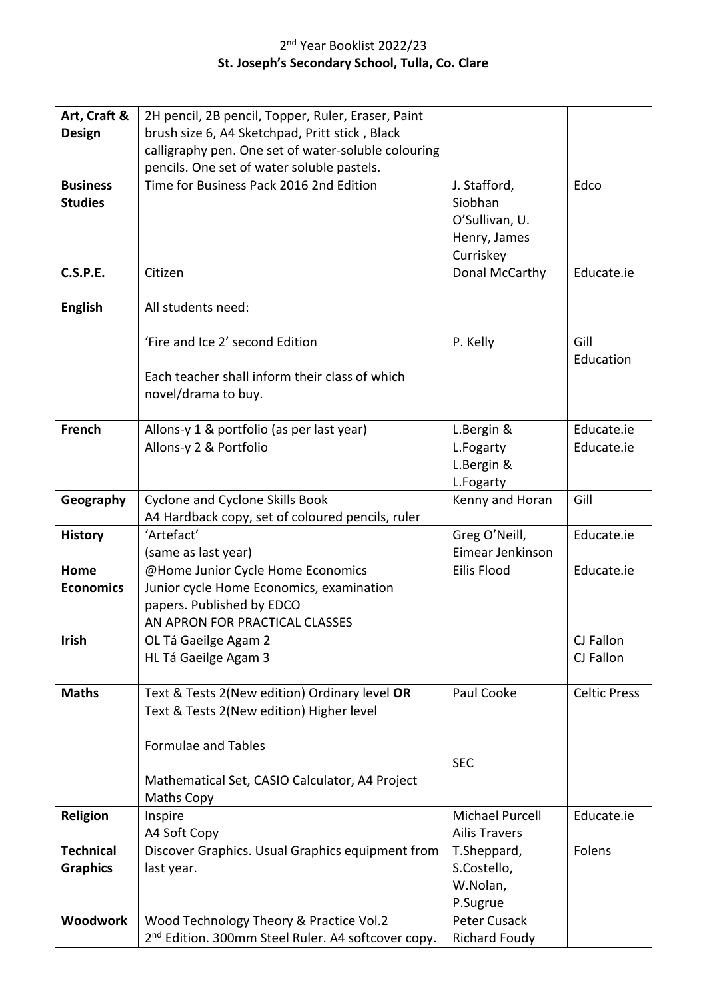## 2<sup>nd</sup> Year Booklist 2022/23 **St. Joseph's Secondary School, Tulla, Co. Clare**

| Art, Craft &     | 2H pencil, 2B pencil, Topper, Ruler, Eraser, Paint             |                      |                     |
|------------------|----------------------------------------------------------------|----------------------|---------------------|
| <b>Design</b>    | brush size 6, A4 Sketchpad, Pritt stick, Black                 |                      |                     |
|                  | calligraphy pen. One set of water-soluble colouring            |                      |                     |
|                  | pencils. One set of water soluble pastels.                     |                      |                     |
| <b>Business</b>  | Time for Business Pack 2016 2nd Edition                        | J. Stafford,         | Edco                |
| <b>Studies</b>   |                                                                | Siobhan              |                     |
|                  |                                                                | O'Sullivan, U.       |                     |
|                  |                                                                | Henry, James         |                     |
|                  |                                                                | Curriskey            |                     |
| <b>C.S.P.E.</b>  | Citizen                                                        | Donal McCarthy       | Educate.ie          |
|                  |                                                                |                      |                     |
| <b>English</b>   | All students need:                                             |                      |                     |
|                  |                                                                |                      |                     |
|                  | 'Fire and Ice 2' second Edition                                | P. Kelly             | Gill                |
|                  |                                                                |                      | Education           |
|                  | Each teacher shall inform their class of which                 |                      |                     |
|                  | novel/drama to buy.                                            |                      |                     |
|                  |                                                                |                      |                     |
| French           | Allons-y 1 & portfolio (as per last year)                      | L.Bergin &           | Educate.ie          |
|                  | Allons-y 2 & Portfolio                                         | L.Fogarty            | Educate.ie          |
|                  |                                                                | L.Bergin &           |                     |
|                  |                                                                | L.Fogarty            |                     |
| Geography        | <b>Cyclone and Cyclone Skills Book</b>                         | Kenny and Horan      | Gill                |
|                  | A4 Hardback copy, set of coloured pencils, ruler               |                      |                     |
| <b>History</b>   | 'Artefact'                                                     | Greg O'Neill,        | Educate.ie          |
|                  | (same as last year)                                            | Eimear Jenkinson     |                     |
| Home             | @Home Junior Cycle Home Economics                              | Eilis Flood          | Educate.ie          |
| <b>Economics</b> | Junior cycle Home Economics, examination                       |                      |                     |
|                  | papers. Published by EDCO                                      |                      |                     |
|                  | AN APRON FOR PRACTICAL CLASSES                                 |                      |                     |
| <b>Irish</b>     | OL Tá Gaeilge Agam 2                                           |                      | CJ Fallon           |
|                  | HL Tá Gaeilge Agam 3                                           |                      | CJ Fallon           |
|                  |                                                                |                      |                     |
| <b>Maths</b>     | Text & Tests 2(New edition) Ordinary level OR                  | Paul Cooke           | <b>Celtic Press</b> |
|                  | Text & Tests 2(New edition) Higher level                       |                      |                     |
|                  |                                                                |                      |                     |
|                  | <b>Formulae and Tables</b>                                     |                      |                     |
|                  |                                                                | <b>SEC</b>           |                     |
|                  | Mathematical Set, CASIO Calculator, A4 Project                 |                      |                     |
|                  | Maths Copy                                                     |                      |                     |
| Religion         | Inspire                                                        | Michael Purcell      | Educate.ie          |
|                  | A4 Soft Copy                                                   | <b>Ailis Travers</b> |                     |
| <b>Technical</b> | Discover Graphics. Usual Graphics equipment from               | T.Sheppard,          | Folens              |
| <b>Graphics</b>  | last year.                                                     | S.Costello,          |                     |
|                  |                                                                | W.Nolan,             |                     |
|                  |                                                                | P.Sugrue             |                     |
| <b>Woodwork</b>  | Wood Technology Theory & Practice Vol.2                        | Peter Cusack         |                     |
|                  | 2 <sup>nd</sup> Edition. 300mm Steel Ruler. A4 softcover copy. | <b>Richard Foudy</b> |                     |